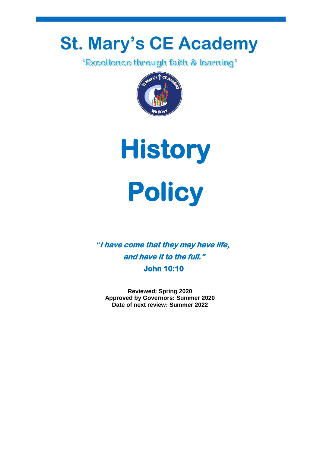# **St. Mary's CE Academy**<br>**Excellence through faith & learning**<sup>\*</sup>





*"***I have come that they may have life, and have it to the full." John 10:10** 

**Reviewed: Spring 2020 Approved by Governors: Summer 2020 Date of next review: Summer 2022**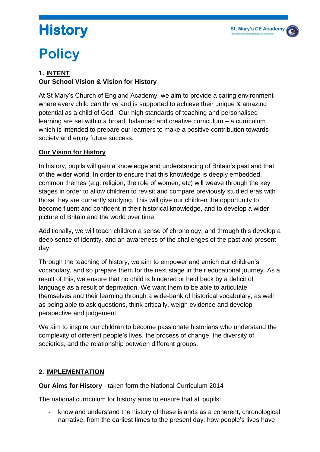

## **History**

### **Policy**

#### **1. INTENT Our School Vision & Vision for History**

At St Mary's Church of England Academy, we aim to provide a caring environment where every child can thrive and is supported to achieve their unique & amazing potential as a child of God. Our high standards of teaching and personalised learning are set within a broad, balanced and creative curriculum – a curriculum which is intended to prepare our learners to make a positive contribution towards society and enjoy future success.

#### **Our Vision for History**

In history, pupils will gain a knowledge and understanding of Britain's past and that of the wider world. In order to ensure that this knowledge is deeply embedded, common themes (e.g. religion, the role of women, etc) will weave through the key stages in order to allow children to revisit and compare previously studied eras with those they are currently studying. This will give our children the opportunity to become fluent and confident in their historical knowledge, and to develop a wider picture of Britain and the world over time.

Additionally, we will teach children a sense of chronology, and through this develop a deep sense of identity, and an awareness of the challenges of the past and present day.

Through the teaching of history, we aim to empower and enrich our children's vocabulary, and so prepare them for the next stage in their educational journey. As a result of this, we ensure that no child is hindered or held back by a deficit of language as a result of deprivation. We want them to be able to articulate themselves and their learning through a wide-bank of historical vocabulary, as well as being able to ask questions, think critically, weigh evidence and develop perspective and judgement.

We aim to inspire our children to become passionate historians who understand the complexity of different people's lives, the process of change, the diversity of societies, and the relationship between different groups.

#### **2. IMPLEMENTATION**

**Our Aims for History** - taken form the National Curriculum 2014

The national curriculum for history aims to ensure that all pupils:

know and understand the history of these islands as a coherent, chronological narrative, from the earliest times to the present day: how people's lives have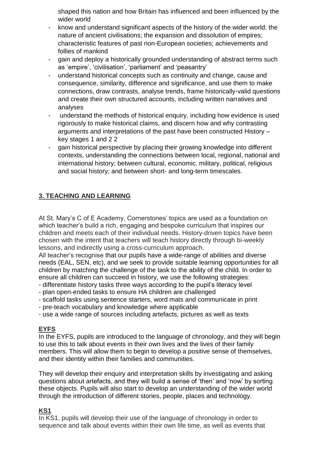shaped this nation and how Britain has influenced and been influenced by the wider world

- know and understand significant aspects of the history of the wider world: the nature of ancient civilisations; the expansion and dissolution of empires; characteristic features of past non-European societies; achievements and follies of mankind
- gain and deploy a historically grounded understanding of abstract terms such as 'empire', 'civilisation', 'parliament' and 'peasantry'
- understand historical concepts such as continuity and change, cause and consequence, similarity, difference and significance, and use them to make connections, draw contrasts, analyse trends, frame historically-valid questions and create their own structured accounts, including written narratives and analyses
- understand the methods of historical enquiry, including how evidence is used rigorously to make historical claims, and discern how and why contrasting arguments and interpretations of the past have been constructed History – key stages 1 and 2 2
- gain historical perspective by placing their growing knowledge into different contexts, understanding the connections between local, regional, national and international history; between cultural, economic, military, political, religious and social history; and between short- and long-term timescales.

#### **3. TEACHING AND LEARNING**

At St. Mary's C of E Academy, Cornerstones' topics are used as a foundation on which teacher's build a rich, engaging and bespoke curriculum that inspires our children and meets each of their individual needs. History-driven topics have been chosen with the intent that teachers will teach history directly through bi-weekly lessons, and indirectly using a cross-curriculum approach.

All teacher's recognise that our pupils have a wide-range of abilities and diverse needs (EAL, SEN, etc), and we seek to provide suitable learning opportunities for all children by matching the challenge of the task to the ability of the child. In order to ensure all children can succeed in history, we use the following strategies:

- differentiate history tasks three ways according to the pupil's literacy level
- plan open-ended tasks to ensure HA children are challenged
- scaffold tasks using sentence starters, word mats and communicate in print
- pre-teach vocabulary and knowledge where applicable
- use a wide range of sources including artefacts, pictures as well as texts

#### **EYFS**

In the EYFS, pupils are introduced to the language of chronology, and they will begin to use this to talk about events in their own lives and the lives of their family members. This will allow them to begin to develop a positive sense of themselves, and their identity within their families and communities.

They will develop their enquiry and interpretation skills by investigating and asking questions about artefacts, and they will build a sense of 'then' and 'now' by sorting these objects. Pupils will also start to develop an understanding of the wider world through the introduction of different stories, people, places and technology.

#### **KS1**

In KS1, pupils will develop their use of the language of chronology in order to sequence and talk about events within their own life time, as well as events that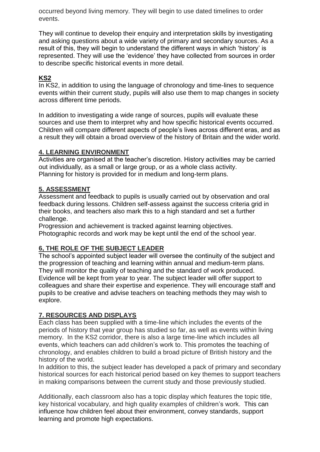occurred beyond living memory. They will begin to use dated timelines to order events.

They will continue to develop their enquiry and interpretation skills by investigating and asking questions about a wide variety of primary and secondary sources. As a result of this, they will begin to understand the different ways in which 'history' is represented. They will use the 'evidence' they have collected from sources in order to describe specific historical events in more detail.

#### **KS2**

In KS2, in addition to using the language of chronology and time-lines to sequence events within their current study, pupils will also use them to map changes in society across different time periods.

In addition to investigating a wide range of sources, pupils will evaluate these sources and use them to interpret why and how specific historical events occurred. Children will compare different aspects of people's lives across different eras, and as a result they will obtain a broad overview of the history of Britain and the wider world.

#### **4. LEARNING ENVIRONMENT**

Activities are organised at the teacher's discretion. History activities may be carried out individually, as a small or large group, or as a whole class activity. Planning for history is provided for in medium and long-term plans.

#### **5. ASSESSMENT**

Assessment and feedback to pupils is usually carried out by observation and oral feedback during lessons. Children self-assess against the success criteria grid in their books, and teachers also mark this to a high standard and set a further challenge.

Progression and achievement is tracked against learning objectives. Photographic records and work may be kept until the end of the school year.

#### **6, THE ROLE OF THE SUBJECT LEADER**

The school's appointed subject leader will oversee the continuity of the subject and the progression of teaching and learning within annual and medium-term plans. They will monitor the quality of teaching and the standard of work produced. Evidence will be kept from year to year. The subject leader will offer support to colleagues and share their expertise and experience. They will encourage staff and pupils to be creative and advise teachers on teaching methods they may wish to explore.

#### **7. RESOURCES AND DISPLAYS**

Each class has been supplied with a time-line which includes the events of the periods of history that year group has studied so far, as well as events within living memory. In the KS2 corridor, there is also a large time-line which includes all events, which teachers can add children's work to. This promotes the teaching of chronology, and enables children to build a broad picture of British history and the history of the world.

In addition to this, the subject leader has developed a pack of primary and secondary historical sources for each historical period based on key themes to support teachers in making comparisons between the current study and those previously studied.

Additionally, each classroom also has a topic display which features the topic title, key historical vocabulary, and high quality examples of children's work. This can influence how children feel about their environment, convey standards, support learning and promote high expectations.